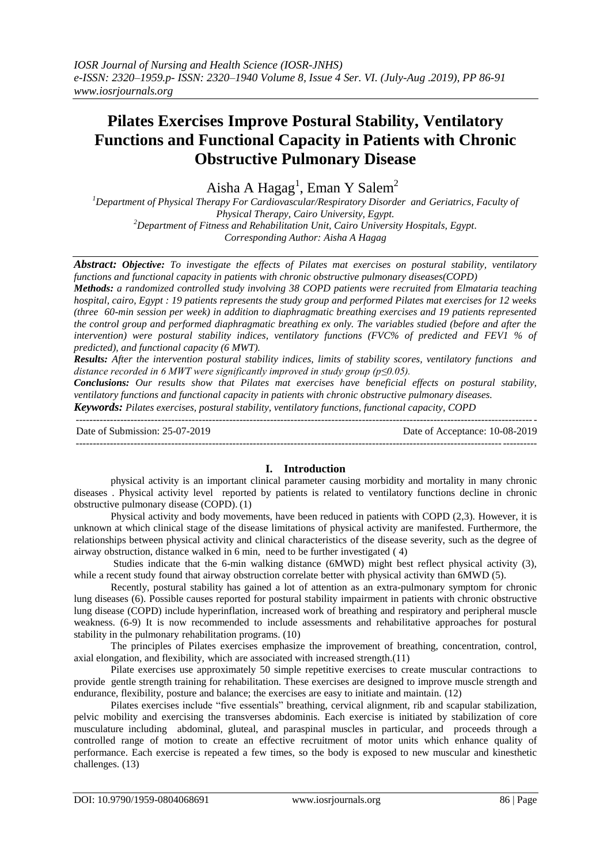# **Pilates Exercises Improve Postural Stability, Ventilatory Functions and Functional Capacity in Patients with Chronic Obstructive Pulmonary Disease**

Aisha A  $Hagag<sup>1</sup>$ , Eman Y Salem<sup>2</sup>

*<sup>1</sup>Department of Physical Therapy For Cardiovascular/Respiratory Disorder and Geriatrics, Faculty of Physical Therapy, Cairo University, Egypt. <sup>2</sup>Department of Fitness and Rehabilitation Unit, Cairo University Hospitals, Egypt. Corresponding Author: Aisha A Hagag*

*Abstract: Objective: To investigate the effects of Pilates mat exercises on postural stability, ventilatory functions and functional capacity in patients with chronic obstructive pulmonary diseases(COPD)* 

*Methods: a randomized controlled study involving 38 COPD patients were recruited from Elmataria teaching hospital, cairo, Egypt : 19 patients represents the study group and performed Pilates mat exercises for 12 weeks (three 60-min session per week) in addition to diaphragmatic breathing exercises and 19 patients represented the control group and performed diaphragmatic breathing ex only. The variables studied (before and after the*  intervention) were postural stability indices, ventilatory functions (FVC% of predicted and FEV1 % of *predicted), and functional capacity (6 MWT).*

*Results: After the intervention postural stability indices, limits of stability scores, ventilatory functions and distance recorded in 6 MWT were significantly improved in study group (p≤0.05).*

*Conclusions: Our results show that Pilates mat exercises have beneficial effects on postural stability, ventilatory functions and functional capacity in patients with chronic obstructive pulmonary diseases.*

*Keywords: Pilates exercises, postural stability, ventilatory functions, functional capacity, COPD*

--------------------------------------------------------------------------------------------------------------------------------------- Date of Submission: 25-07-2019 Date of Acceptance: 10-08-2019 ---------------------------------------------------------------------------------------------------------------------------------------

## **I. Introduction**

physical activity is an important clinical parameter causing morbidity and mortality in many chronic diseases . Physical activity level reported by patients is related to ventilatory functions decline in chronic obstructive pulmonary disease (COPD). (1)

Physical activity and body movements, have been reduced in patients with COPD (2,3). However, it is unknown at which clinical stage of the disease limitations of physical activity are manifested. Furthermore, the relationships between physical activity and clinical characteristics of the disease severity, such as the degree of airway obstruction, distance walked in 6 min, need to be further investigated ( 4)

Studies indicate that the 6-min walking distance (6MWD) might best reflect physical activity (3), while a recent study found that airway obstruction correlate better with physical activity than 6MWD (5).

Recently, postural stability has gained a lot of attention as an extra-pulmonary symptom for chronic lung diseases (6). Possible causes reported for postural stability impairment in patients with chronic obstructive lung disease (COPD) include hyperinflation, increased work of breathing and respiratory and peripheral muscle weakness. (6-9) It is now recommended to include assessments and rehabilitative approaches for postural stability in the pulmonary rehabilitation programs. (10)

The principles of Pilates exercises emphasize the improvement of breathing, concentration, control, axial elongation, and flexibility, which are associated with increased strength.(11)

Pilate exercises use approximately 50 simple repetitive exercises to create muscular contractions to provide gentle strength training for rehabilitation. These exercises are designed to improve muscle strength and endurance, flexibility, posture and balance; the exercises are easy to initiate and maintain. (12)

Pilates exercises include "five essentials" breathing, cervical alignment, rib and scapular stabilization, pelvic mobility and exercising the transverses abdominis. Each exercise is initiated by stabilization of core musculature including abdominal, gluteal, and paraspinal muscles in particular, and proceeds through a controlled range of motion to create an effective recruitment of motor units which enhance quality of performance. Each exercise is repeated a few times, so the body is exposed to new muscular and kinesthetic challenges. (13)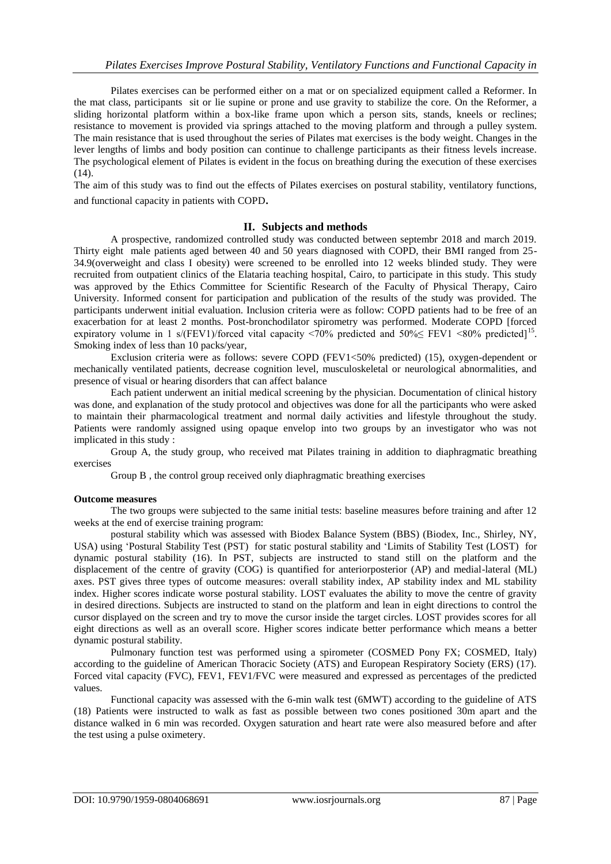Pilates exercises can be performed either on a mat or on specialized equipment called a Reformer. In the mat class, participants sit or lie supine or prone and use gravity to stabilize the core. On the Reformer, a sliding horizontal platform within a box-like frame upon which a person sits, stands, kneels or reclines; resistance to movement is provided via springs attached to the moving platform and through a pulley system. The main resistance that is used throughout the series of Pilates mat exercises is the body weight. Changes in the lever lengths of limbs and body position can continue to challenge participants as their fitness levels increase. The psychological element of Pilates is evident in the focus on breathing during the execution of these exercises  $(14)$ .

The aim of this study was to find out the effects of Pilates exercises on postural stability, ventilatory functions, and functional capacity in patients with COPD.

#### **II. Subjects and methods**

A prospective, randomized controlled study was conducted between septembr 2018 and march 2019. Thirty eight male patients aged between 40 and 50 years diagnosed with COPD, their BMI ranged from 25- 34.9(overweight and class I obesity) were screened to be enrolled into 12 weeks blinded study. They were recruited from outpatient clinics of the Elataria teaching hospital, Cairo, to participate in this study. This study was approved by the Ethics Committee for Scientific Research of the Faculty of Physical Therapy, Cairo University. Informed consent for participation and publication of the results of the study was provided. The participants underwent initial evaluation. Inclusion criteria were as follow: COPD patients had to be free of an exacerbation for at least 2 months. Post-bronchodilator spirometry was performed. Moderate COPD [forced expiratory volume in 1 s/(FEV1)/forced vital capacity <70% predicted and  $50\% \leq$  FEV1 <80% predicted]<sup>15</sup>. Smoking index of less than 10 packs/year,

Exclusion criteria were as follows: severe COPD (FEV1<50% predicted) (15), oxygen-dependent or mechanically ventilated patients, decrease cognition level, musculoskeletal or neurological abnormalities, and presence of visual or hearing disorders that can affect balance

Each patient underwent an initial medical screening by the physician. Documentation of clinical history was done, and explanation of the study protocol and objectives was done for all the participants who were asked to maintain their pharmacological treatment and normal daily activities and lifestyle throughout the study. Patients were randomly assigned using opaque envelop into two groups by an investigator who was not implicated in this study :

Group A, the study group, who received mat Pilates training in addition to diaphragmatic breathing exercises

Group B , the control group received only diaphragmatic breathing exercises

#### **Outcome measures**

The two groups were subjected to the same initial tests: baseline measures before training and after 12 weeks at the end of exercise training program:

postural stability which was assessed with Biodex Balance System (BBS) (Biodex, Inc., Shirley, NY, USA) using "Postural Stability Test (PST) for static postural stability and "Limits of Stability Test (LOST) for dynamic postural stability (16). In PST, subjects are instructed to stand still on the platform and the displacement of the centre of gravity (COG) is quantified for anteriorposterior (AP) and medial-lateral (ML) axes. PST gives three types of outcome measures: overall stability index, AP stability index and ML stability index. Higher scores indicate worse postural stability. LOST evaluates the ability to move the centre of gravity in desired directions. Subjects are instructed to stand on the platform and lean in eight directions to control the cursor displayed on the screen and try to move the cursor inside the target circles. LOST provides scores for all eight directions as well as an overall score. Higher scores indicate better performance which means a better dynamic postural stability.

Pulmonary function test was performed using a spirometer (COSMED Pony FX; COSMED, Italy) according to the guideline of American Thoracic Society (ATS) and European Respiratory Society (ERS) (17). Forced vital capacity (FVC), FEV1, FEV1/FVC were measured and expressed as percentages of the predicted values.

Functional capacity was assessed with the 6-min walk test (6MWT) according to the guideline of ATS (18) Patients were instructed to walk as fast as possible between two cones positioned 30m apart and the distance walked in 6 min was recorded. Oxygen saturation and heart rate were also measured before and after the test using a pulse oximetery.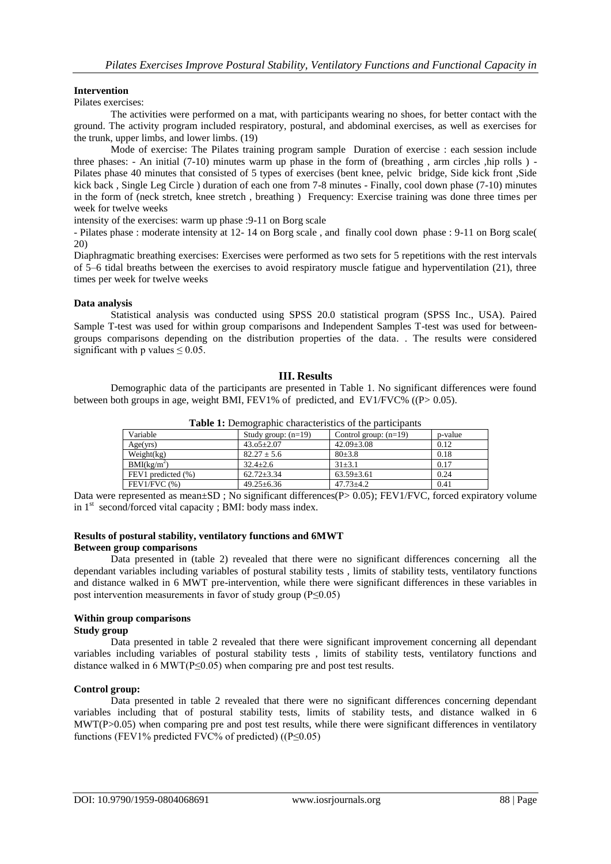#### **Intervention**

Pilates exercises:

The activities were performed on a mat, with participants wearing no shoes, for better contact with the ground. The activity program included respiratory, postural, and abdominal exercises, as well as exercises for the trunk, upper limbs, and lower limbs. (19)

Mode of exercise: The Pilates training program sample Duration of exercise : each session include three phases: - An initial (7-10) minutes warm up phase in the form of (breathing, arm circles ,hip rolls) -Pilates phase 40 minutes that consisted of 5 types of exercises (bent knee, pelvic bridge, Side kick front ,Side kick back , Single Leg Circle ) duration of each one from 7-8 minutes - Finally, cool down phase (7-10) minutes in the form of (neck stretch, knee stretch , breathing ) Frequency: Exercise training was done three times per week for twelve weeks

intensity of the exercises: warm up phase :9-11 on Borg scale

- Pilates phase : moderate intensity at 12- 14 on Borg scale , and finally cool down phase : 9-11 on Borg scale( 20)

Diaphragmatic breathing exercises: Exercises were performed as two sets for 5 repetitions with the rest intervals of 5–6 tidal breaths between the exercises to avoid respiratory muscle fatigue and hyperventilation (21), three times per week for twelve weeks

#### **Data analysis**

Statistical analysis was conducted using SPSS 20.0 statistical program (SPSS Inc., USA). Paired Sample T-test was used for within group comparisons and Independent Samples T-test was used for betweengroups comparisons depending on the distribution properties of the data. . The results were considered significant with p values  $\leq 0.05$ .

#### **III. Results**

Demographic data of the participants are presented in Table 1. No significant differences were found between both groups in age, weight BMI, FEV1% of predicted, and EV1/FVC% ( $(P> 0.05)$ ).

| <b>Table 1:</b> Demographic enaracteristics of the participants |                       |                         |         |  |  |  |  |
|-----------------------------------------------------------------|-----------------------|-------------------------|---------|--|--|--|--|
| Variable                                                        | Study group: $(n=19)$ | Control group: $(n=19)$ | p-value |  |  |  |  |
| Age(vrs)                                                        | $43.05 \pm 2.07$      | $42.09 + 3.08$          | 0.12    |  |  |  |  |
| Weight(kg)                                                      | $82.27 \pm 5.6$       | $80+3.8$                | 0.18    |  |  |  |  |
| BMI(kg/m <sup>2</sup> )                                         | $32.4 + 2.6$          | $31 + 3.1$              | 0.17    |  |  |  |  |
| FEV1 predicted (%)                                              | $62.72 + 3.34$        | $63.59 + 3.61$          | 0.24    |  |  |  |  |
| $FEV1/FVC$ $%$ )                                                | $49.25 \pm 6.36$      | $47.73 \pm 4.2$         | 0.41    |  |  |  |  |

**Table 1:** Demographic characteristics of the participants

Data were represented as mean±SD; No significant differences(P> 0.05); FEV1/FVC, forced expiratory volume in  $1<sup>st</sup>$  second/forced vital capacity ; BMI: body mass index.

#### **Results of postural stability, ventilatory functions and 6MWT Between group comparisons**

Data presented in (table 2) revealed that there were no significant differences concerning all the dependant variables including variables of postural stability tests , limits of stability tests, ventilatory functions and distance walked in 6 MWT pre-intervention, while there were significant differences in these variables in post intervention measurements in favor of study group (P≤0.05)

## **Within group comparisons**

#### **Study group**

Data presented in table 2 revealed that there were significant improvement concerning all dependant variables including variables of postural stability tests , limits of stability tests, ventilatory functions and distance walked in 6 MWT( $P \le 0.05$ ) when comparing pre and post test results.

#### **Control group:**

Data presented in table 2 revealed that there were no significant differences concerning dependant variables including that of postural stability tests, limits of stability tests, and distance walked in 6 MWT(P>0.05) when comparing pre and post test results, while there were significant differences in ventilatory functions (FEV1% predicted FVC% of predicted)  $((P<0.05))$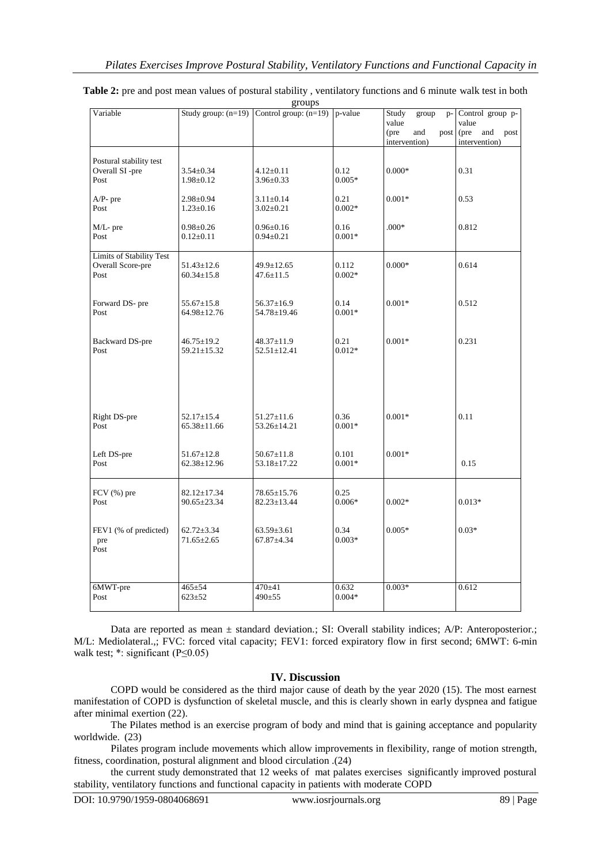| Variable                        |                                  | Study group: $(n=19)$ Control group: $(n=19)$ | p-value          | Study<br>group                       | p- Control group p-                  |
|---------------------------------|----------------------------------|-----------------------------------------------|------------------|--------------------------------------|--------------------------------------|
|                                 |                                  |                                               |                  | value                                | value                                |
|                                 |                                  |                                               |                  | (pre<br>and<br>post<br>intervention) | (pre<br>and<br>post<br>intervention) |
|                                 |                                  |                                               |                  |                                      |                                      |
| Postural stability test         |                                  |                                               |                  |                                      |                                      |
| Overall SI-pre                  | $3.54 \pm 0.34$                  | $4.12 \pm 0.11$                               | 0.12             | $0.000*$                             | 0.31                                 |
| Post                            | $1.98 \pm 0.12$                  | $3.96 \pm 0.33$                               | $0.005*$         |                                      |                                      |
| $A/P$ - pre                     | $2.98 \pm 0.94$                  | $3.11 \pm 0.14$                               | 0.21             | $0.001*$                             | 0.53                                 |
| Post                            | $1.23 \pm 0.16$                  | $3.02 \pm 0.21$                               | $0.002*$         |                                      |                                      |
|                                 |                                  |                                               |                  |                                      |                                      |
| M/L- pre                        | $0.98 \pm 0.26$                  | $0.96 \pm 0.16$                               | 0.16             | $.000*$                              | 0.812                                |
| Post                            | $0.12 \pm 0.11$                  | $0.94 \pm 0.21$                               | $0.001*$         |                                      |                                      |
| <b>Limits of Stability Test</b> |                                  |                                               |                  |                                      |                                      |
| Overall Score-pre               | $51.43 \pm 12.6$                 | 49.9±12.65                                    | 0.112            | $0.000*$                             | 0.614                                |
| Post                            | $60.34 \pm 15.8$                 | $47.6 \pm 11.5$                               | $0.002*$         |                                      |                                      |
|                                 |                                  |                                               |                  |                                      |                                      |
|                                 |                                  |                                               |                  |                                      |                                      |
| Forward DS- pre<br>Post         | $55.67 \pm 15.8$                 | $56.37 \pm 16.9$                              | 0.14<br>$0.001*$ | $0.001*$                             | 0.512                                |
|                                 | 64.98±12.76                      | 54.78±19.46                                   |                  |                                      |                                      |
|                                 |                                  |                                               |                  |                                      |                                      |
| Backward DS-pre                 | $46.75 \pm 19.2$                 | 48.37±11.9                                    | 0.21             | $0.001*$                             | 0.231                                |
| Post                            | 59.21±15.32                      | $52.51 \pm 12.41$                             | $0.012*$         |                                      |                                      |
|                                 |                                  |                                               |                  |                                      |                                      |
|                                 |                                  |                                               |                  |                                      |                                      |
|                                 |                                  |                                               |                  |                                      |                                      |
|                                 |                                  |                                               |                  |                                      |                                      |
|                                 |                                  |                                               |                  |                                      |                                      |
| Right DS-pre                    | $52.17 \pm 15.4$                 | $51.27 \pm 11.6$                              | 0.36             | $0.001*$                             | 0.11                                 |
| Post                            | $65.38 \pm 11.66$                | 53.26±14.21                                   | $0.001*$         |                                      |                                      |
|                                 |                                  |                                               |                  |                                      |                                      |
| Left DS-pre                     | $51.67 \pm 12.8$                 | $50.67 \pm 11.8$                              | 0.101            | $0.001*$                             |                                      |
| Post                            | $62.38 \pm 12.96$                | 53.18±17.22                                   | $0.001*$         |                                      | 0.15                                 |
|                                 |                                  |                                               |                  |                                      |                                      |
|                                 |                                  |                                               | 0.25             |                                      |                                      |
| FCV $(%)$ pre<br>Post           | $82.12 \pm 17.34$<br>90.65±23.34 | 78.65±15.76<br>$82.23 \pm 13.44$              | $0.006*$         | $0.002*$                             | $0.013*$                             |
|                                 |                                  |                                               |                  |                                      |                                      |
|                                 |                                  |                                               |                  |                                      |                                      |
| FEV1 (% of predicted)           | $62.72 \pm 3.34$                 | $63.59 \pm 3.61$                              | 0.34             | $0.005*$                             | $0.03*$                              |
| pre                             | $71.65 \pm 2.65$                 | $67.87 + 4.34$                                | $0.003*$         |                                      |                                      |
| Post                            |                                  |                                               |                  |                                      |                                      |
|                                 |                                  |                                               |                  |                                      |                                      |
|                                 |                                  |                                               |                  |                                      |                                      |
| 6MWT-pre                        | $465 \pm 54$                     | 470±41                                        | 0.632            | $0.003*$                             | 0.612                                |
| Post                            | $623 \pm 52$                     | 490±55                                        | $0.004*$         |                                      |                                      |
|                                 |                                  |                                               |                  |                                      |                                      |

#### **Table 2:** pre and post mean values of postural stability, ventilatory functions and 6 minute walk test in both groups

Data are reported as mean  $\pm$  standard deviation.; SI: Overall stability indices; A/P: Anteroposterior.; M/L: Mediolateral.,; FVC: forced vital capacity; FEV1: forced expiratory flow in first second; 6MWT: 6-min walk test;  $*$ : significant (P≤0.05)

## **IV. Discussion**

COPD would be considered as the third major cause of death by the year 2020 (15). The most earnest manifestation of COPD is dysfunction of skeletal muscle, and this is clearly shown in early dyspnea and fatigue after minimal exertion (22).

The Pilates method is an exercise program of body and mind that is gaining acceptance and popularity worldwide. (23)

Pilates program include movements which allow improvements in flexibility, range of motion strength, fitness, coordination, postural alignment and blood circulation .(24)

the current study demonstrated that 12 weeks of mat palates exercises significantly improved postural stability, ventilatory functions and functional capacity in patients with moderate COPD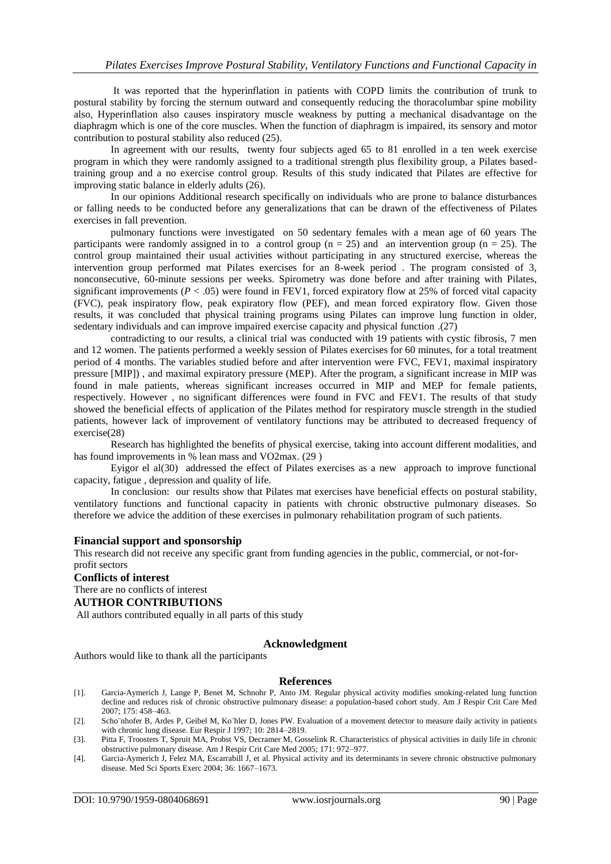It was reported that the hyperinflation in patients with COPD limits the contribution of trunk to postural stability by forcing the sternum outward and consequently reducing the thoracolumbar spine mobility also, Hyperinflation also causes inspiratory muscle weakness by putting a mechanical disadvantage on the diaphragm which is one of the core muscles. When the function of diaphragm is impaired, its sensory and motor contribution to postural stability also reduced (25).

In agreement with our results, twenty four subjects aged 65 to 81 enrolled in a ten week exercise program in which they were randomly assigned to a traditional strength plus flexibility group, a Pilates basedtraining group and a no exercise control group. Results of this study indicated that Pilates are effective for improving static balance in elderly adults (26).

In our opinions Additional research specifically on individuals who are prone to balance disturbances or falling needs to be conducted before any generalizations that can be drawn of the effectiveness of Pilates exercises in fall prevention.

pulmonary functions were investigated on 50 sedentary females with a mean age of 60 years The participants were randomly assigned in to a control group ( $n = 25$ ) and an intervention group ( $n = 25$ ). The control group maintained their usual activities without participating in any structured exercise, whereas the intervention group performed mat Pilates exercises for an 8-week period . The program consisted of 3, nonconsecutive, 60-minute sessions per weeks. Spirometry was done before and after training with Pilates, significant improvements  $(P < .05)$  were found in FEV1, forced expiratory flow at 25% of forced vital capacity (FVC), peak inspiratory flow, peak expiratory flow (PEF), and mean forced expiratory flow. Given those results, it was concluded that physical training programs using Pilates can improve lung function in older, sedentary individuals and can improve impaired exercise capacity and physical function .(27)

contradicting to our results, a clinical trial was conducted with 19 patients with cystic fibrosis, 7 men and 12 women. The patients performed a weekly session of Pilates exercises for 60 minutes, for a total treatment period of 4 months. The variables studied before and after intervention were FVC, FEV1, maximal inspiratory pressure [MIP]) , and maximal expiratory pressure (MEP). After the program, a significant increase in MIP was found in male patients, whereas significant increases occurred in MIP and MEP for female patients, respectively. However , no significant differences were found in FVC and FEV1. The results of that study showed the beneficial effects of application of the Pilates method for respiratory muscle strength in the studied patients, however lack of improvement of ventilatory functions may be attributed to decreased frequency of exercise(28)

Research has highlighted the benefits of physical exercise, taking into account different modalities, and has found improvements in % lean mass and VO2max. (29 )

Eyigor el al(30) addressed the effect of Pilates exercises as a new approach to improve functional capacity, fatigue , depression and quality of life.

In conclusion: our results show that Pilates mat exercises have beneficial effects on postural stability, ventilatory functions and functional capacity in patients with chronic obstructive pulmonary diseases. So therefore we advice the addition of these exercises in pulmonary rehabilitation program of such patients.

#### **Financial support and sponsorship**

This research did not receive any specific grant from funding agencies in the public, commercial, or not-forprofit sectors

# **Conflicts of interest** There are no conflicts of interest

# **AUTHOR CONTRIBUTIONS**

All authors contributed equally in all parts of this study

#### **Acknowledgment**

Authors would like to thank all the participants

#### **References**

- [1]. Garcia-Aymerich J, Lange P, Benet M, Schnohr P, Anto JM. Regular physical activity modifies smoking-related lung function decline and reduces risk of chronic obstructive pulmonary disease: a population-based cohort study. Am J Respir Crit Care Med 2007; 175: 458–463.
- [2]. Scho¨nhofer B, Ardes P, Geibel M, Ko¨hler D, Jones PW. Evaluation of a movement detector to measure daily activity in patients with chronic lung disease. Eur Respir J 1997; 10: 2814–2819.
- [3]. Pitta F, Troosters T, Spruit MA, Probst VS, Decramer M, Gosselink R. Characteristics of physical activities in daily life in chronic obstructive pulmonary disease. Am J Respir Crit Care Med 2005; 171: 972–977.
- [4]. Garcia-Aymerich J, Felez MA, Escarrabill J, et al. Physical activity and its determinants in severe chronic obstructive pulmonary disease. Med Sci Sports Exerc 2004; 36: 1667–1673.